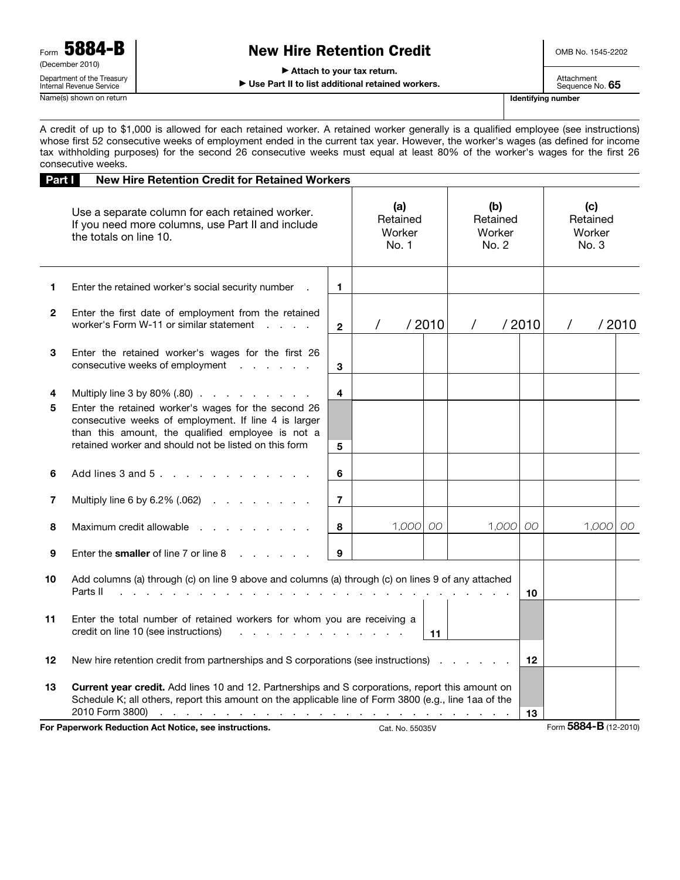# New Hire Retention Credit

OMB No. 1545-2202

▶ Attach to your tax return.

▶ Use Part II to list additional retained workers.

Attachment Sequence No. 65

A credit of up to \$1,000 is allowed for each retained worker. A retained worker generally is a qualified employee (see instructions) whose first 52 consecutive weeks of employment ended in the current tax year. However, the worker's wages (as defined for income tax withholding purposes) for the second 26 consecutive weeks must equal at least 80% of the worker's wages for the first 26 consecutive weeks.

| Part I       | <b>New Hire Retention Credit for Retained Workers</b>                                                                                                                                                                                                                                                                                                 |                |                                    |       |                                    |       |                                    |                       |       |
|--------------|-------------------------------------------------------------------------------------------------------------------------------------------------------------------------------------------------------------------------------------------------------------------------------------------------------------------------------------------------------|----------------|------------------------------------|-------|------------------------------------|-------|------------------------------------|-----------------------|-------|
|              | Use a separate column for each retained worker.<br>If you need more columns, use Part II and include<br>the totals on line 10.                                                                                                                                                                                                                        |                | (a)<br>Retained<br>Worker<br>No. 1 |       | (b)<br>Retained<br>Worker<br>No. 2 |       | (c)<br>Retained<br>Worker<br>No. 3 |                       |       |
| 1            | Enter the retained worker's social security number                                                                                                                                                                                                                                                                                                    | 1.             |                                    |       |                                    |       |                                    |                       |       |
| $\mathbf{2}$ | Enter the first date of employment from the retained<br>worker's Form W-11 or similar statement<br>and the state                                                                                                                                                                                                                                      | $\overline{2}$ | $\prime$                           | /2010 | $\prime$                           | /2010 | $\prime$                           |                       | /2010 |
| 3            | Enter the retained worker's wages for the first 26<br>consecutive weeks of employment                                                                                                                                                                                                                                                                 | 3              |                                    |       |                                    |       |                                    |                       |       |
| 4<br>5       | Multiply line 3 by 80% (.80)<br>Enter the retained worker's wages for the second 26<br>consecutive weeks of employment. If line 4 is larger<br>than this amount, the qualified employee is not a<br>retained worker and should not be listed on this form                                                                                             | 4<br>5         |                                    |       |                                    |       |                                    |                       |       |
| 6            | Add lines $3$ and $5$ .                                                                                                                                                                                                                                                                                                                               | 6              |                                    |       |                                    |       |                                    |                       |       |
| 7            | Multiply line 6 by 6.2% (.062) $\ldots$ $\ldots$ $\ldots$                                                                                                                                                                                                                                                                                             | $\overline{7}$ |                                    |       |                                    |       |                                    |                       |       |
| 8            | Maximum credit allowable                                                                                                                                                                                                                                                                                                                              | 8              | 1,000                              | OO.   | 1,000                              | 00    |                                    | 1,000                 | OO.   |
| 9            | Enter the smaller of line 7 or line 8                                                                                                                                                                                                                                                                                                                 | 9              |                                    |       |                                    |       |                                    |                       |       |
| 10           | Add columns (a) through (c) on line 9 above and columns (a) through (c) on lines 9 of any attached<br>Parts II                                                                                                                                                                                                                                        |                |                                    |       |                                    | 10    |                                    |                       |       |
| 11           | Enter the total number of retained workers for whom you are receiving a<br>credit on line 10 (see instructions)<br>and a straight and a straight and<br>11                                                                                                                                                                                            |                |                                    |       |                                    |       |                                    |                       |       |
| 12           | New hire retention credit from partnerships and S corporations (see instructions)                                                                                                                                                                                                                                                                     |                |                                    |       |                                    |       |                                    |                       |       |
| 13           | Current year credit. Add lines 10 and 12. Partnerships and S corporations, report this amount on<br>Schedule K; all others, report this amount on the applicable line of Form 3800 (e.g., line 1aa of the<br>2010 Form 3800)<br>the contract of the contract of the contract of the contract of the contract of the contract of the contract of<br>13 |                |                                    |       |                                    |       |                                    |                       |       |
|              | For Paperwork Reduction Act Notice, see instructions.                                                                                                                                                                                                                                                                                                 |                | Cat. No. 55035V                    |       |                                    |       |                                    | Form 5884-B (12-2010) |       |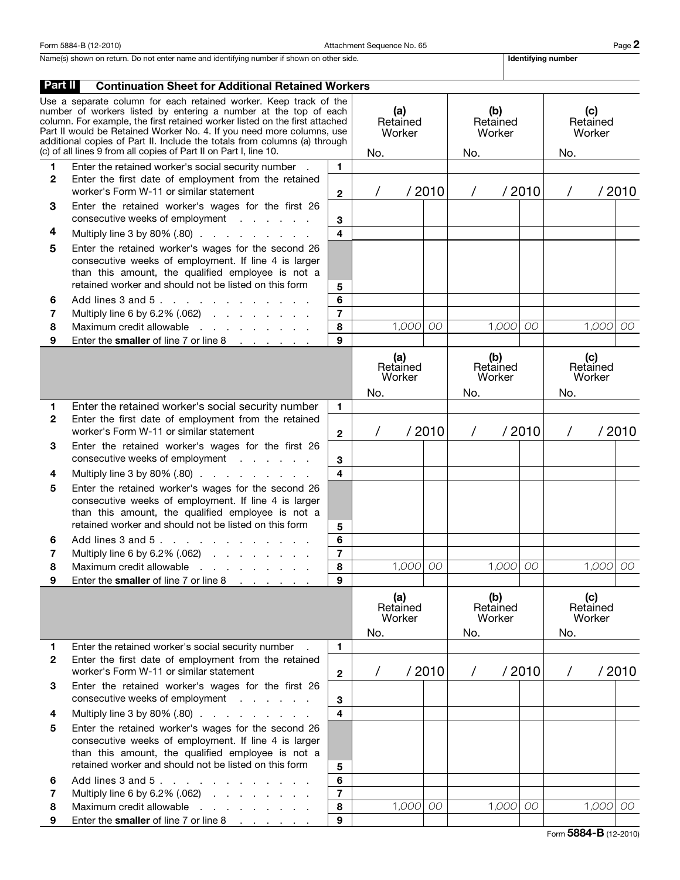Form 5884-B (12-2010) Page 2 and Attachment Sequence No. 65

Name(s) shown on return. Do not enter name and identifying number if shown on other side. In the state and identifying number

| Part II                                                                                                                                                                                                                                                                                                                                                                                                                                         | <b>Continuation Sheet for Additional Retained Workers</b>                                                                                                                                                                 |                         |                                  |            |                                  |                                  |       |                                  |                                  |            |        |
|-------------------------------------------------------------------------------------------------------------------------------------------------------------------------------------------------------------------------------------------------------------------------------------------------------------------------------------------------------------------------------------------------------------------------------------------------|---------------------------------------------------------------------------------------------------------------------------------------------------------------------------------------------------------------------------|-------------------------|----------------------------------|------------|----------------------------------|----------------------------------|-------|----------------------------------|----------------------------------|------------|--------|
| Use a separate column for each retained worker. Keep track of the<br>number of workers listed by entering a number at the top of each<br>column. For example, the first retained worker listed on the first attached<br>Part II would be Retained Worker No. 4. If you need more columns, use<br>additional copies of Part II. Include the totals from columns (a) through<br>(c) of all lines 9 from all copies of Part II on Part I, line 10. |                                                                                                                                                                                                                           |                         | (a)<br>Retained<br>Worker<br>No. |            |                                  | (b)<br>Retained<br>Worker<br>No. |       |                                  | (c)<br>Retained<br>Worker<br>No. |            |        |
| 1.                                                                                                                                                                                                                                                                                                                                                                                                                                              | Enter the retained worker's social security number .                                                                                                                                                                      | $\mathbf{1}$            |                                  |            |                                  |                                  |       |                                  |                                  |            |        |
| 2                                                                                                                                                                                                                                                                                                                                                                                                                                               | Enter the first date of employment from the retained<br>worker's Form W-11 or similar statement                                                                                                                           |                         |                                  |            | /2010                            | / 2010<br>$\prime$               |       |                                  | / 2010<br>$\prime$               |            |        |
| 3                                                                                                                                                                                                                                                                                                                                                                                                                                               | Enter the retained worker's wages for the first 26<br>consecutive weeks of employment                                                                                                                                     | 3                       |                                  |            |                                  |                                  |       |                                  |                                  |            |        |
| 4                                                                                                                                                                                                                                                                                                                                                                                                                                               | Multiply line $3$ by $80\%$ $(.80)$ $.  .  .  .  .  .  .  .$                                                                                                                                                              | $\overline{\mathbf{4}}$ |                                  |            |                                  |                                  |       |                                  |                                  |            |        |
| 5                                                                                                                                                                                                                                                                                                                                                                                                                                               | Enter the retained worker's wages for the second 26<br>consecutive weeks of employment. If line 4 is larger<br>than this amount, the qualified employee is not a<br>retained worker and should not be listed on this form | 5                       |                                  |            |                                  |                                  |       |                                  |                                  |            |        |
| 6                                                                                                                                                                                                                                                                                                                                                                                                                                               | Add lines $3$ and $5$ .                                                                                                                                                                                                   | 6                       |                                  |            |                                  |                                  |       |                                  |                                  |            |        |
| 7                                                                                                                                                                                                                                                                                                                                                                                                                                               | Multiply line 6 by 6.2% (.062)                                                                                                                                                                                            | $\overline{\mathbf{r}}$ |                                  |            |                                  |                                  |       |                                  |                                  |            |        |
| 8                                                                                                                                                                                                                                                                                                                                                                                                                                               | Maximum credit allowable                                                                                                                                                                                                  | 8                       |                                  | 1,000      | 00                               |                                  | 1,000 | 00                               |                                  | $1,000$ 00 |        |
| 9                                                                                                                                                                                                                                                                                                                                                                                                                                               | Enter the smaller of line 7 or line 8                                                                                                                                                                                     | 9                       |                                  |            |                                  |                                  |       |                                  |                                  |            |        |
|                                                                                                                                                                                                                                                                                                                                                                                                                                                 |                                                                                                                                                                                                                           |                         | (a)<br>Retained<br>Worker<br>No. |            | (b)<br>Retained<br>Worker<br>No. |                                  |       | (c)<br>Retained<br>Worker<br>No. |                                  |            |        |
| 1.                                                                                                                                                                                                                                                                                                                                                                                                                                              | Enter the retained worker's social security number                                                                                                                                                                        | $\mathbf{1}$            |                                  |            |                                  |                                  |       |                                  |                                  |            |        |
| 2                                                                                                                                                                                                                                                                                                                                                                                                                                               | Enter the first date of employment from the retained<br>worker's Form W-11 or similar statement                                                                                                                           | $\mathbf{2}$            |                                  |            | /2010                            | $\prime$                         |       | / 2010                           | $\prime$                         |            | / 2010 |
| 3                                                                                                                                                                                                                                                                                                                                                                                                                                               | Enter the retained worker's wages for the first 26<br>consecutive weeks of employment                                                                                                                                     | 3                       |                                  |            |                                  |                                  |       |                                  |                                  |            |        |
| 4                                                                                                                                                                                                                                                                                                                                                                                                                                               | Multiply line 3 by 80% (.80)                                                                                                                                                                                              | $\overline{\mathbf{4}}$ |                                  |            |                                  |                                  |       |                                  |                                  |            |        |
| 5                                                                                                                                                                                                                                                                                                                                                                                                                                               | Enter the retained worker's wages for the second 26<br>consecutive weeks of employment. If line 4 is larger<br>than this amount, the qualified employee is not a<br>retained worker and should not be listed on this form | 5                       |                                  |            |                                  |                                  |       |                                  |                                  |            |        |
| 6                                                                                                                                                                                                                                                                                                                                                                                                                                               | Add lines 3 and 5.                                                                                                                                                                                                        | 6                       |                                  |            |                                  |                                  |       |                                  |                                  |            |        |
| 7                                                                                                                                                                                                                                                                                                                                                                                                                                               | Multiply line 6 by 6.2% (.062)                                                                                                                                                                                            | $\overline{\mathbf{r}}$ |                                  |            |                                  |                                  |       |                                  |                                  |            |        |
| 8                                                                                                                                                                                                                                                                                                                                                                                                                                               | Maximum credit allowable                                                                                                                                                                                                  | 8                       |                                  | 1,000 00   |                                  |                                  | 1,000 | 00                               |                                  | $1,000$ 00 |        |
| 9                                                                                                                                                                                                                                                                                                                                                                                                                                               | Enter the smaller of line 7 or line 8<br>and the company of the company of                                                                                                                                                | 9                       |                                  |            |                                  |                                  |       |                                  |                                  |            |        |
|                                                                                                                                                                                                                                                                                                                                                                                                                                                 |                                                                                                                                                                                                                           |                         | (a)<br>Retained<br>Worker<br>No. |            | (b)<br>Retained<br>Worker<br>No. |                                  |       | (c)<br>Retained<br>Worker<br>No. |                                  |            |        |
| 1.                                                                                                                                                                                                                                                                                                                                                                                                                                              | Enter the retained worker's social security number                                                                                                                                                                        | $\mathbf{1}$            |                                  |            |                                  |                                  |       |                                  |                                  |            |        |
| 2                                                                                                                                                                                                                                                                                                                                                                                                                                               | Enter the first date of employment from the retained<br>worker's Form W-11 or similar statement                                                                                                                           | $\mathbf{2}$            | $\prime$                         |            | /2010                            | $\prime$                         |       | / 2010                           | $\prime$                         |            | /2010  |
| 3                                                                                                                                                                                                                                                                                                                                                                                                                                               | Enter the retained worker's wages for the first 26<br>consecutive weeks of employment                                                                                                                                     | 3                       |                                  |            |                                  |                                  |       |                                  |                                  |            |        |
| 4                                                                                                                                                                                                                                                                                                                                                                                                                                               | Multiply line $3$ by $80\%$ $(.80)$ $.  .  .  .  .  .  .  .$                                                                                                                                                              | $\overline{\mathbf{4}}$ |                                  |            |                                  |                                  |       |                                  |                                  |            |        |
| 5                                                                                                                                                                                                                                                                                                                                                                                                                                               | Enter the retained worker's wages for the second 26<br>consecutive weeks of employment. If line 4 is larger<br>than this amount, the qualified employee is not a<br>retained worker and should not be listed on this form |                         |                                  |            |                                  |                                  |       |                                  |                                  |            |        |
| 6                                                                                                                                                                                                                                                                                                                                                                                                                                               | Add lines 3 and 5.                                                                                                                                                                                                        | 5<br>6                  |                                  |            |                                  |                                  |       |                                  |                                  |            |        |
| 7                                                                                                                                                                                                                                                                                                                                                                                                                                               | Multiply line 6 by 6.2% (.062) $\ldots$ $\ldots$ $\ldots$                                                                                                                                                                 | $\overline{7}$          |                                  |            |                                  |                                  |       |                                  |                                  |            |        |
| 8                                                                                                                                                                                                                                                                                                                                                                                                                                               | Maximum credit allowable<br>and the contract of the contract of                                                                                                                                                           | 8                       |                                  | $1,000$ 00 |                                  |                                  | 1,000 | 00                               |                                  | $1,000$ 00 |        |
| 9                                                                                                                                                                                                                                                                                                                                                                                                                                               | Enter the smaller of line 7 or line 8                                                                                                                                                                                     | 9                       |                                  |            |                                  |                                  |       |                                  |                                  |            |        |